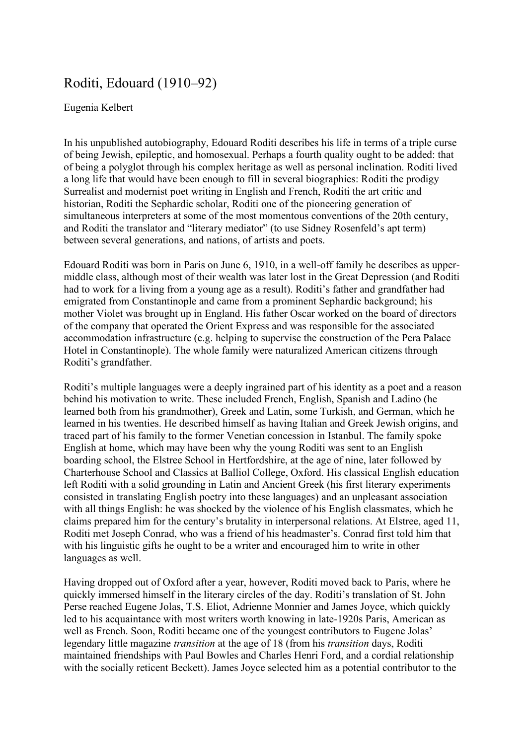## Roditi, Edouard  $(1910-92)$

## Eugenia Kelbert

In his unpublished autobiography, Edouard Roditi describes his life in terms of a triple curse of being Jewish, epileptic, and homosexual. Perhaps a fourth quality ought to be added: that of being a polyglot through his complex heritage as well as personal inclination. Roditi lived a long life that would have been enough to fill in several biographies: Roditi the prodigy Surrealist and modernist poet writing in English and French, Roditi the art critic and historian, Roditi the Sephardic scholar, Roditi one of the pioneering generation of simultaneous interpreters at some of the most momentous conventions of the 20th century, and Roditi the translator and "literary mediator" (to use Sidney Rosenfeld's apt term) between several generations, and nations, of artists and poets.

Edouard Roditi was born in Paris on June 6, 1910, in a well-off family he describes as uppermiddle class, although most of their wealth was later lost in the Great Depression (and Roditi had to work for a living from a young age as a result). Roditi's father and grandfather had emigrated from Constantinople and came from a prominent Sephardic background; his mother Violet was brought up in England. His father Oscar worked on the board of directors of the company that operated the Orient Express and was responsible for the associated accommodation infrastructure (e.g. helping to supervise the construction of the Pera Palace Hotel in Constantinople). The whole family were naturalized American citizens through Roditi's grandfather.

Roditi's multiple languages were a deeply ingrained part of his identity as a poet and a reason behind his motivation to write. These included French, English, Spanish and Ladino (he learned both from his grandmother), Greek and Latin, some Turkish, and German, which he learned in his twenties. He described himself as having Italian and Greek Jewish origins, and traced part of his family to the former Venetian concession in Istanbul. The family spoke English at home, which may have been why the young Roditi was sent to an English boarding school, the Elstree School in Hertfordshire, at the age of nine, later followed by Charterhouse School and Classics at Balliol College, Oxford. His classical English education left Roditi with a solid grounding in Latin and Ancient Greek (his first literary experiments consisted in translating English poetry into these languages) and an unpleasant association with all things English: he was shocked by the violence of his English classmates, which he claims prepared him for the century's brutality in interpersonal relations. At Elstree, aged 11, Roditi met Joseph Conrad, who was a friend of his headmaster's, Conrad first told him that with his linguistic gifts he ought to be a writer and encouraged him to write in other languages as well.

Having dropped out of Oxford after a year, however, Roditi moved back to Paris, where he quickly immersed himself in the literary circles of the day. Roditi's translation of St. John Perse reached Eugene Jolas, T.S. Eliot, Adrienne Monnier and James Joyce, which quickly led to his acquaintance with most writers worth knowing in late-1920s Paris, American as well as French. Soon, Roditi became one of the youngest contributors to Eugene Jolas' legendary little magazine *transition* at the age of 18 (from his *transition* days, Roditi maintained friendships with Paul Bowles and Charles Henri Ford, and a cordial relationship with the socially reticent Beckett). James Joyce selected him as a potential contributor to the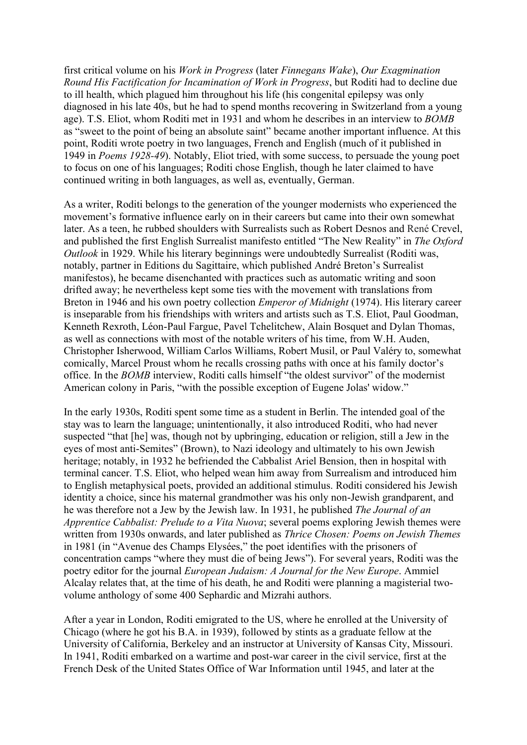first critical volume on his *Work in Progress* (later *Finnegans Wake*), *Our Exagmination Round His Factification for Incamination of Work in Progress*, but Roditi had to decline due to ill health, which plagued him throughout his life (his congenital epilepsy was only diagnosed in his late 40s, but he had to spend months recovering in Switzerland from a young age). T.S. Eliot, whom Roditi met in 1931 and whom he describes in an interview to *BOMB* as "sweet to the point of being an absolute saint" became another important influence. At this point, Roditi wrote poetry in two languages, French and English (much of it published in 1949 in *Poems 1928-49*). Notably, Eliot tried, with some success, to persuade the young poet to focus on one of his languages; Roditi chose English, though he later claimed to have continued writing in both languages, as well as, eventually, German.

As a writer, Roditi belongs to the generation of the younger modernists who experienced the movement's formative influence early on in their careers but came into their own somewhat later. As a teen, he rubbed shoulders with Surrealists such as Robert Desnos and René Crevel, and published the first English Surrealist manifesto entitled "The New Reality" in *The Oxford Outlook* in 1929. While his literary beginnings were undoubtedly Surrealist (Roditi was, notably, partner in Editions du Sagittaire, which published André Breton's Surrealist manifestos), he became disenchanted with practices such as automatic writing and soon drifted away; he nevertheless kept some ties with the movement with translations from Breton in 1946 and his own poetry collection *Emperor of Midnight* (1974). His literary career is inseparable from his friendships with writers and artists such as T.S. Eliot, Paul Goodman, Kenneth Rexroth, Léon-Paul Fargue, Pavel Tchelitchew, Alain Bosquet and Dylan Thomas, as well as connections with most of the notable writers of his time, from W.H. Auden, Christopher Isherwood, William Carlos Williams, Robert Musil, or Paul Valéry to, somewhat comically, Marcel Proust whom he recalls crossing paths with once at his family doctor's office. In the *BOMB* interview, Roditi calls himself "the oldest survivor" of the modernist American colony in Paris, "with the possible exception of Eugene Jolas' widow."

In the early 1930s, Roditi spent some time as a student in Berlin. The intended goal of the stay was to learn the language; unintentionally, it also introduced Roditi, who had never suspected "that [he] was, though not by upbringing, education or religion, still a Jew in the eyes of most anti-Semites" (Brown), to Nazi ideology and ultimately to his own Jewish heritage; notably, in 1932 he befriended the Cabbalist Ariel Bension, then in hospital with terminal cancer. T.S. Eliot, who helped wean him away from Surrealism and introduced him to English metaphysical poets, provided an additional stimulus. Roditi considered his Jewish identity a choice, since his maternal grandmother was his only non-Jewish grandparent, and he was therefore not a Jew by the Jewish law. In 1931, he published *The Journal of an Apprentice Cabbalist: Prelude to a Vita Nuova*; several poems exploring Jewish themes were written from 1930s onwards, and later published as *Thrice Chosen: Poems on Jewish Themes* in 1981 (in "Avenue des Champs Elysées," the poet identifies with the prisoners of concentration camps "where they must die of being Jews"). For several years, Roditi was the poetry editor for the journal *European Judaism: A Journal for the New Europe*. Ammiel Alcalay relates that, at the time of his death, he and Roditi were planning a magisterial twovolume anthology of some 400 Sephardic and Mizrahi authors.

After a year in London, Roditi emigrated to the US, where he enrolled at the University of Chicago (where he got his B.A. in 1939), followed by stints as a graduate fellow at the University of California, Berkeley and an instructor at University of Kansas City, Missouri. In 1941, Roditi embarked on a wartime and post-war career in the civil service, first at the French Desk of the United States Office of War Information until 1945, and later at the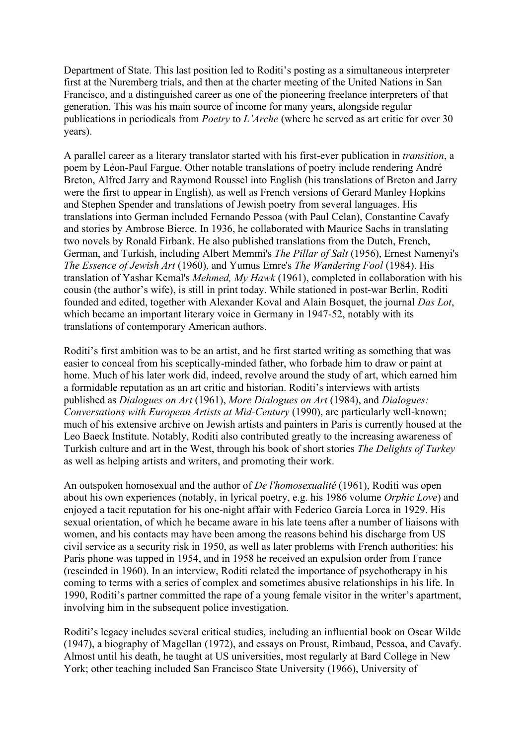Department of State. This last position led to Roditi's posting as a simultaneous interpreter first at the Nuremberg trials, and then at the charter meeting of the United Nations in San Francisco, and a distinguished career as one of the pioneering freelance interpreters of that generation. This was his main source of income for many years, alongside regular publications in periodicals from *Poetry* to *L'Arche* (where he served as art critic for over 30 years).

A parallel career as a literary translator started with his first-ever publication in *transition*, a poem by Léon-Paul Fargue. Other notable translations of poetry include rendering André Breton, Alfred Jarry and Raymond Roussel into English (his translations of Breton and Jarry were the first to appear in English), as well as French versions of Gerard Manley Hopkins and Stephen Spender and translations of Jewish poetry from several languages. His translations into German included Fernando Pessoa (with Paul Celan), Constantine Cavafy and stories by Ambrose Bierce. In 1936, he collaborated with Maurice Sachs in translating two novels by Ronald Firbank. He also published translations from the Dutch, French, German, and Turkish, including Albert Memmi's *The Pillar of Salt* (1956), Ernest Namenyi's *The Essence of Jewish Art* (1960), and Yumus Emre's *The Wandering Fool* (1984). His translation of Yashar Kemal's *Mehmed, My Hawk* (1961), completed in collaboration with his cousin (the author's wife), is still in print today. While stationed in post-war Berlin, Roditi founded and edited, together with Alexander Koval and Alain Bosquet, the journal *Das Lot*, which became an important literary voice in Germany in 1947-52, notably with its translations of contemporary American authors.

Roditi's first ambition was to be an artist, and he first started writing as something that was easier to conceal from his sceptically-minded father, who forbade him to draw or paint at home. Much of his later work did, indeed, revolve around the study of art, which earned him a formidable reputation as an art critic and historian. Roditi's interviews with artists published as *Dialogues on Art* (1961), *More Dialogues on Art* (1984), and *Dialogues: Conversations with European Artists at Mid-Century* (1990), are particularly well-known; much of his extensive archive on Jewish artists and painters in Paris is currently housed at the Leo Baeck Institute. Notably, Roditi also contributed greatly to the increasing awareness of Turkish culture and art in the West, through his book of short stories *The Delights of Turkey*  as well as helping artists and writers, and promoting their work.

An outspoken homosexual and the author of *De l'homosexualité* (1961), Roditi was open about his own experiences (notably, in lyrical poetry, e.g. his 1986 volume *Orphic Love*) and enjoyed a tacit reputation for his one-night affair with Federico García Lorca in 1929. His sexual orientation, of which he became aware in his late teens after a number of liaisons with women, and his contacts may have been among the reasons behind his discharge from US civil service as a security risk in 1950, as well as later problems with French authorities: his Paris phone was tapped in 1954, and in 1958 he received an expulsion order from France (rescinded in 1960). In an interview, Roditi related the importance of psychotherapy in his coming to terms with a series of complex and sometimes abusive relationships in his life. In 1990, Roditi's partner committed the rape of a young female visitor in the writer's apartment, involving him in the subsequent police investigation.

Roditi's legacy includes several critical studies, including an influential book on Oscar Wilde (1947), a biography of Magellan (1972), and essays on Proust, Rimbaud, Pessoa, and Cavafy. Almost until his death, he taught at US universities, most regularly at Bard College in New York; other teaching included San Francisco State University (1966), University of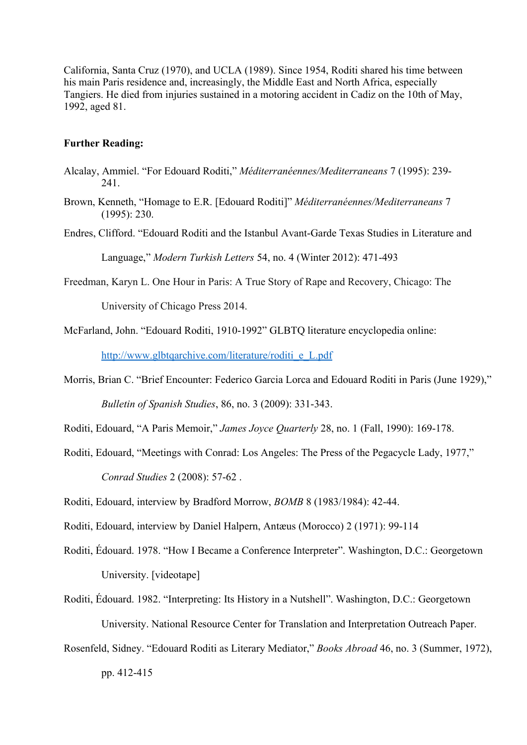California, Santa Cruz (1970), and UCLA (1989). Since 1954, Roditi shared his time between his main Paris residence and, increasingly, the Middle East and North Africa, especially Tangiers. He died from injuries sustained in a motoring accident in Cadiz on the 10th of May, 1992, aged 81.

## **Further Reading:**

- Alcalay, Ammiel. ³For Edouard Roditi,´ *Méditerranéennes/Mediterraneans* 7 (1995): 239- 241.
- Brown, Kenneth, "Homage to E.R. [Edouard Roditi]" *Méditerranéennes/Mediterraneans* 7 (1995): 230.
- Endres, Clifford. "Edouard Roditi and the Istanbul Avant-Garde Texas Studies in Literature and

Language,´ *Modern Turkish Letters* 54, no. 4 (Winter 2012): 471-493

Freedman, Karyn L. One Hour in Paris: A True Story of Rape and Recovery, Chicago: The

University of Chicago Press 2014.

McFarland, John. "Edouard Roditi, 1910-1992" GLBTQ literature encyclopedia online:

[http://www.glbtqarchive.com/literature/roditi\\_e\\_L.pdf](http://www.glbtqarchive.com/literature/roditi_e_L.pdf)

Morris, Brian C. "Brief Encounter: Federico Garcia Lorca and Edouard Roditi in Paris (June 1929)," *Bulletin of Spanish Studies*, 86, no. 3 (2009): 331-343.

Roditi, Edouard, "A Paris Memoir," *James Joyce Quarterly* 28, no. 1 (Fall, 1990): 169-178.

Roditi, Edouard, "Meetings with Conrad: Los Angeles: The Press of the Pegacycle Lady, 1977," *Conrad Studies* 2 (2008): 57-62 .

Roditi, Edouard, interview by Bradford Morrow, *BOMB* 8 (1983/1984): 42-44.

- Roditi, Edouard, interview by Daniel Halpern, Antæus (Morocco) 2 (1971): 99-114
- Roditi, Édouard. 1978. "How I Became a Conference Interpreter". Washington, D.C.: Georgetown University. [videotape]
- Roditi, Édouard. 1982. "Interpreting: Its History in a Nutshell". Washington, D.C.: Georgetown University. National Resource Center for Translation and Interpretation Outreach Paper.
- Rosenfeld, Sidney. "Edouard Roditi as Literary Mediator," *Books Abroad* 46, no. 3 (Summer, 1972), pp. 412-415